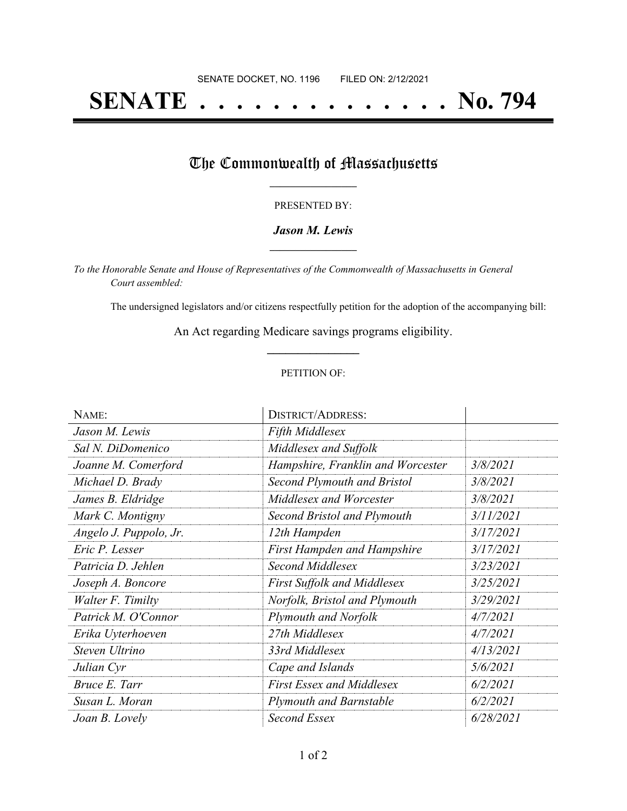# **SENATE . . . . . . . . . . . . . . No. 794**

## The Commonwealth of Massachusetts

#### PRESENTED BY:

#### *Jason M. Lewis* **\_\_\_\_\_\_\_\_\_\_\_\_\_\_\_\_\_**

*To the Honorable Senate and House of Representatives of the Commonwealth of Massachusetts in General Court assembled:*

The undersigned legislators and/or citizens respectfully petition for the adoption of the accompanying bill:

An Act regarding Medicare savings programs eligibility. **\_\_\_\_\_\_\_\_\_\_\_\_\_\_\_**

#### PETITION OF:

| NAME:                  | <b>DISTRICT/ADDRESS:</b>           |           |
|------------------------|------------------------------------|-----------|
| Jason M. Lewis         | Fifth Middlesex                    |           |
| Sal N. DiDomenico      | Middlesex and Suffolk              |           |
| Joanne M. Comerford    | Hampshire, Franklin and Worcester  | 3/8/2021  |
| Michael D. Brady       | Second Plymouth and Bristol        | 3/8/2021  |
| James B. Eldridge      | Middlesex and Worcester            | 3/8/2021  |
| Mark C. Montigny       | Second Bristol and Plymouth        | 3/11/2021 |
| Angelo J. Puppolo, Jr. | 12th Hampden                       | 3/17/2021 |
| Eric P. Lesser         | <b>First Hampden and Hampshire</b> | 3/17/2021 |
| Patricia D. Jehlen     | Second Middlesex                   | 3/23/2021 |
| Joseph A. Boncore      | <b>First Suffolk and Middlesex</b> | 3/25/2021 |
| Walter F. Timilty      | Norfolk, Bristol and Plymouth      | 3/29/2021 |
| Patrick M. O'Connor    | Plymouth and Norfolk               | 4/7/2021  |
| Erika Uyterhoeven      | 27th Middlesex                     | 4/7/2021  |
| Steven Ultrino         | 33rd Middlesex                     | 4/13/2021 |
| Julian Cyr             | Cape and Islands                   | 5/6/2021  |
| Bruce E. Tarr          | <b>First Essex and Middlesex</b>   | 6/2/2021  |
| Susan L. Moran         | <b>Plymouth and Barnstable</b>     | 6/2/2021  |
| Joan B. Lovely         | Second Essex                       | 6/28/2021 |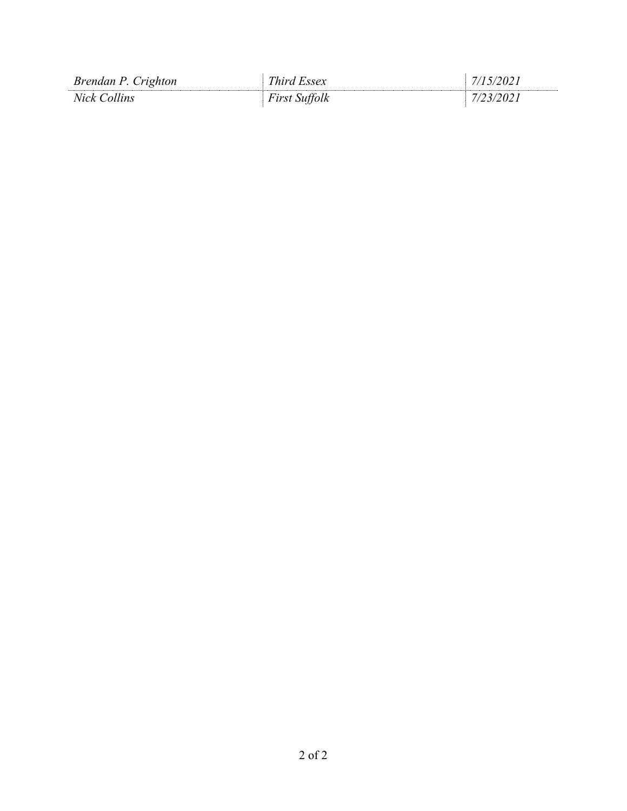| Brendan P. Crighton | Third Essex          | 7/15/2021        |
|---------------------|----------------------|------------------|
| Nick Collins        | <b>First Suffolk</b> | <i>7/23/2021</i> |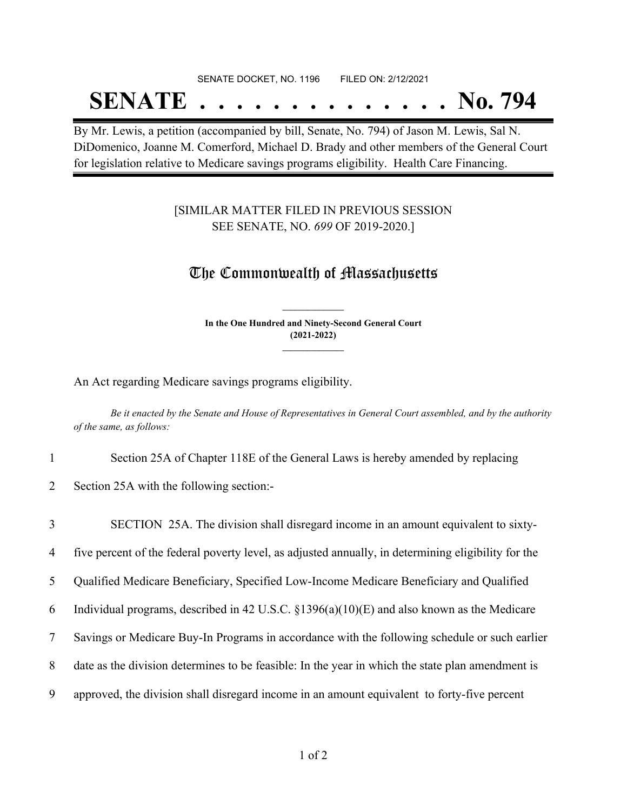# SENATE DOCKET, NO. 1196 FILED ON: 2/12/2021

# **SENATE . . . . . . . . . . . . . . No. 794**

By Mr. Lewis, a petition (accompanied by bill, Senate, No. 794) of Jason M. Lewis, Sal N. DiDomenico, Joanne M. Comerford, Michael D. Brady and other members of the General Court for legislation relative to Medicare savings programs eligibility. Health Care Financing.

### [SIMILAR MATTER FILED IN PREVIOUS SESSION SEE SENATE, NO. *699* OF 2019-2020.]

### The Commonwealth of Massachusetts

**In the One Hundred and Ninety-Second General Court (2021-2022) \_\_\_\_\_\_\_\_\_\_\_\_\_\_\_**

**\_\_\_\_\_\_\_\_\_\_\_\_\_\_\_**

An Act regarding Medicare savings programs eligibility.

Be it enacted by the Senate and House of Representatives in General Court assembled, and by the authority *of the same, as follows:*

1 Section 25A of Chapter 118E of the General Laws is hereby amended by replacing

2 Section 25A with the following section:-

 SECTION 25A. The division shall disregard income in an amount equivalent to sixty- five percent of the federal poverty level, as adjusted annually, in determining eligibility for the Qualified Medicare Beneficiary, Specified Low-Income Medicare Beneficiary and Qualified Individual programs, described in 42 U.S.C. §1396(a)(10)(E) and also known as the Medicare Savings or Medicare Buy-In Programs in accordance with the following schedule or such earlier date as the division determines to be feasible: In the year in which the state plan amendment is approved, the division shall disregard income in an amount equivalent to forty-five percent